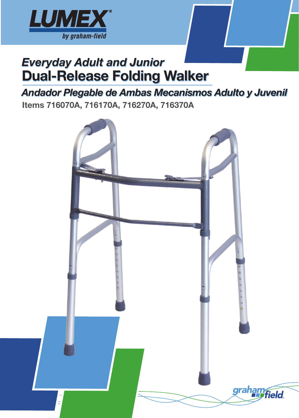

# *Everyday Adult and Junior* Dual-Release Folding Walker

# *Andador Plegable de Ambas Mecanismos Adulto y Juvenil*

Items 716070A, 716170A, 716270A, 716370A

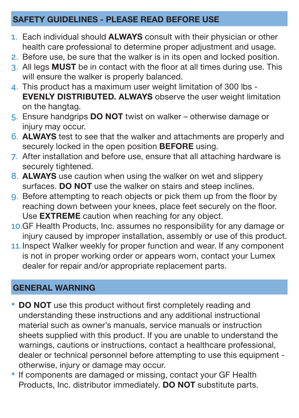### SAFETY GUIDELINES - PLEASE READ BEFORE USE

- **1.** Each individual should ALWAYS consult with their physician or other health care professional to determine proper adjustment and usage.
- **2.** Before use, be sure that the walker is in its open and locked position.
- **3.** All legs MUST be in contact with the floor at all times during use. This will ensure the walker is properly balanced.
- **4.** This product has a maximum user weight limitation of 300 lbs EVENLY DISTRIBUTED. ALWAYS observe the user weight limitation on the hangtag.
- **5.** Ensure handgrips DO NOT twist on walker otherwise damage or injury may occur.
- **6.** ALWAYS test to see that the walker and attachments are properly and securely locked in the open position **BEFORE** using.
- **7.** After installation and before use, ensure that all attaching hardware is securely tightened.
- **8.** ALWAYS use caution when using the walker on wet and slippery surfaces. DO NOT use the walker on stairs and steep inclines.
- **9.** Before attempting to reach objects or pick them up from the floor by reaching down between your knees, place feet securely on the floor. Use **EXTREME** caution when reaching for any object.
- **10.**GF Health Products, Inc. assumes no responsibility for any damage or injury caused by improper installation, assembly or use of this product.
- **11.**Inspect Walker weekly for proper function and wear. If any component is not in proper working order or appears worn, contact your Lumex dealer for repair and/or appropriate replacement parts.

# GENERAL WARNING

- DO NOT use this product without first completely reading and understanding these instructions and any additional instructional material such as owner's manuals, service manuals or instruction sheets supplied with this product. If you are unable to understand the warnings, cautions or instructions, contact a healthcare professional, dealer or technical personnel before attempting to use this equipment otherwise, injury or damage may occur.
- If components are damaged or missing, contact your GF Health Products, Inc. distributor immediately. **DO NOT** substitute parts.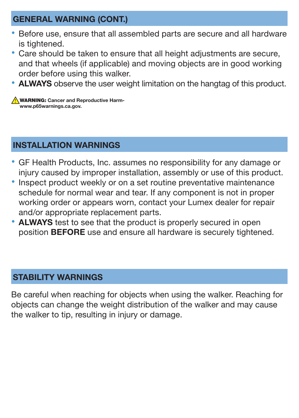#### GENERAL WARNING (CONT.)

- Before use, ensure that all assembled parts are secure and all hardware is tightened.
- Care should be taken to ensure that all height adjustments are secure, and that wheels (if applicable) and moving objects are in good working order before using this walker.
- ALWAYS observe the user weight limitation on the hangtag of this product.

**WARNING:** Cancer and Reproductive Harmwww.p65warnings.ca.gov.

#### INSTALLATION WARNINGS

- GF Health Products, Inc. assumes no responsibility for any damage or injury caused by improper installation, assembly or use of this product.
- Inspect product weekly or on a set routine preventative maintenance schedule for normal wear and tear. If any component is not in proper working order or appears worn, contact your Lumex dealer for repair and/or appropriate replacement parts.
- ALWAYS test to see that the product is properly secured in open position **BEFORE** use and ensure all hardware is securely tightened.

#### STABILITY WARNINGS

Be careful when reaching for objects when using the walker. Reaching for objects can change the weight distribution of the walker and may cause the walker to tip, resulting in injury or damage.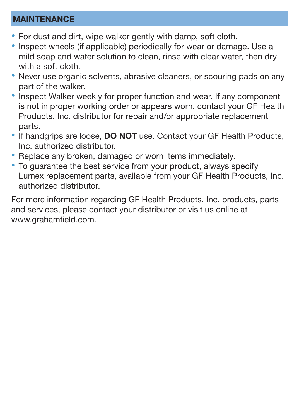#### MAINTENANCE

- For dust and dirt, wipe walker gently with damp, soft cloth.
- Inspect wheels (if applicable) periodically for wear or damage. Use a mild soap and water solution to clean, rinse with clear water, then dry with a soft cloth.
- Never use organic solvents, abrasive cleaners, or scouring pads on any part of the walker.
- Inspect Walker weekly for proper function and wear. If any component is not in proper working order or appears worn, contact your GF Health Products, Inc. distributor for repair and/or appropriate replacement parts.
- If handgrips are loose, DO NOT use. Contact your GF Health Products, Inc. authorized distributor.
- Replace any broken, damaged or worn items immediately.
- To guarantee the best service from your product, always specify Lumex replacement parts, available from your GF Health Products, Inc. authorized distributor.

For more information regarding GF Health Products, Inc. products, parts and services, please contact your distributor or visit us online at www.grahamfield.com.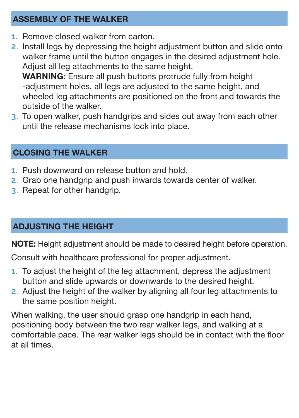### ASSEMBLY OF THE WALKER

- **1.** Remove closed walker from carton.
- **2.** Install legs by depressing the height adjustment button and slide onto walker frame until the button engages in the desired adjustment hole. Adjust all leg attachments to the same height. WARNING: Ensure all push buttons protrude fully from height -adjustment holes, all legs are adjusted to the same height, and wheeled leg attachments are positioned on the front and towards the outside of the walker.
- **3.** To open walker, push handgrips and sides out away from each other until the release mechanisms lock into place.

### CLOSING THE WALKER

- **1.** Push downward on release button and hold.
- **2.** Grab one handgrip and push inwards towards center of walker.
- **3.** Repeat for other handgrip.

# ADJUSTING THE HEIGHT

NOTE: Height adjustment should be made to desired height before operation.

Consult with healthcare professional for proper adjustment.

- **1.** To adjust the height of the leg attachment, depress the adjustment button and slide upwards or downwards to the desired height.
- **2.** Adjust the height of the walker by aligning all four leg attachments to the same position height.

When walking, the user should grasp one handgrip in each hand, positioning body between the two rear walker legs, and walking at a comfortable pace. The rear walker legs should be in contact with the floor at all times.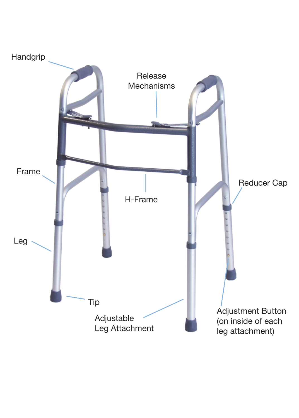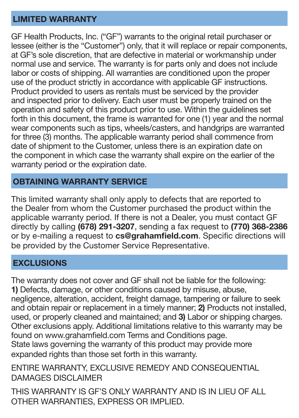#### LIMITED WARRANTY

GF Health Products, Inc. ("GF") warrants to the original retail purchaser or lessee (either is the "Customer") only, that it will replace or repair components, at GF's sole discretion, that are defective in material or workmanship under normal use and service. The warranty is for parts only and does not include labor or costs of shipping. All warranties are conditioned upon the proper use of the product strictly in accordance with applicable GF instructions. Product provided to users as rentals must be serviced by the provider and inspected prior to delivery. Each user must be properly trained on the operation and safety of this product prior to use. Within the guidelines set forth in this document, the frame is warranted for one (1) year and the normal wear components such as tips, wheels/casters, and handgrips are warranted for three (3) months. The applicable warranty period shall commence from date of shipment to the Customer, unless there is an expiration date on the component in which case the warranty shall expire on the earlier of the warranty period or the expiration date.

#### OBTAINING WARRANTY SERVICE

This limited warranty shall only apply to defects that are reported to the Dealer from whom the Customer purchased the product within the applicable warranty period. If there is not a Dealer, you must contact GF directly by calling (678) 291-3207, sending a fax request to (770) 368-2386 or by e-mailing a request to cs@grahamfield.com. Specific directions will be provided by the Customer Service Representative.

#### **EXCLUSIONS**

The warranty does not cover and GF shall not be liable for the following: 1) Defects, damage, or other conditions caused by misuse, abuse, negligence, alteration, accident, freight damage, tampering or failure to seek and obtain repair or replacement in a timely manner; 2) Products not installed, used, or properly cleaned and maintained; and 3) Labor or shipping charges. Other exclusions apply. Additional limitations relative to this warranty may be found on www.grahamfield.com Terms and Conditions page. State laws governing the warranty of this product may provide more expanded rights than those set forth in this warranty.

ENTIRE WARRANTY, EXCLUSIVE REMEDY AND CONSEQUENTIAL DAMAGES DISCLAIMER

THIS WARRANTY IS GF'S ONLY WARRANTY AND IS IN LIEU OF ALL OTHER WARRANTIES, EXPRESS OR IMPLIED.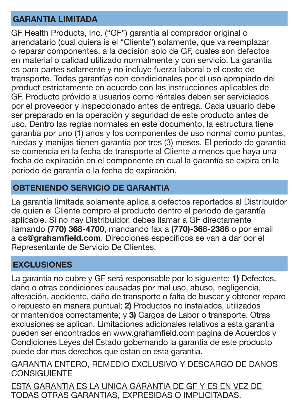#### GARANTIA LIMITADA

GF Health Products, Inc. ("GF") garantía al comprador original o arrendatario (cual quiera is el "Cliente") solamente, que va reemplazar o reparar componentes, a la decisión solo de GF, cuales son defectos en material o calidad utilizado normalmente y con servicio. La garantía es para partes solamente y no incluye fuerza laboral o el costo de transporte. Todas garantías con condicionales por el uso apropiado del product estrictamente en acuerdo con las instrucciones aplicables de GF. Producto próvido a usuarios como réntales deben ser serviciados por el proveedor y inspeccionado antes de entrega. Cada usuario debe ser preparado en la operación y seguridad de este producto antes de uso. Dentro las reglas normales en este documento, la estructura tiene garantía por uno (1) anos y los componentes de uso normal como puntas, ruedas y manijas tienen garantía por tres (3) meses. El periodo de garantía se comencia en la fecha de transporte al Cliente a menos que haya una fecha de expiración en el componente en cual la garantía se expira en la periodo de garantía o la fecha de expiración.

#### OBTENIENDO SERVICIO DE GARANTIA

La garantía limitada solamente aplica a defectos reportados al Distribuidor de quien el Cliente compro el producto dentro el periodo de garantía aplicable. Si no hay Distribuidor, debes llamar a GF directamente llamando (770) 368-4700, mandando fax a (770)-368-2386 o por email a cs@grahamfield.com. Direcciones específicos se van a dar por el Representante de Servicio De Clientes.

# **EXCLUSIONES**

La garantía no cubre y GF será responsable por lo siguiente: 1) Defectos, daño o otras condiciones causadas por mal uso, abuso, negligencia, alteración, accidente, daño de transporte o falta de buscar y obtener reparo o repuesto en manera puntual; 2) Productos no instalados, utilizados or mantenidos correctamente; y 3) Cargos de Labor o transporte. Otras exclusiones se aplican. Limitaciones adicionales relativos a esta garantia pueden ser encontrados en www.grahamfield.com pagina de Acuerdos y Condiciones Leyes del Estado gobernando la garantia de este producto puede dar mas derechos que estan en esta garantia.

GARANTIA ENTERO, REMEDIO EXCLUSIVO Y DESCARGO DE DANOS **CONSIGUIENTE** 

ESTA GARANTIA ES LA UNICA GARANTIA DE GF Y ES EN VEZ DE TODAS OTRAS GARANTIAS, EXPRESIDAS O IMPLICITADAS.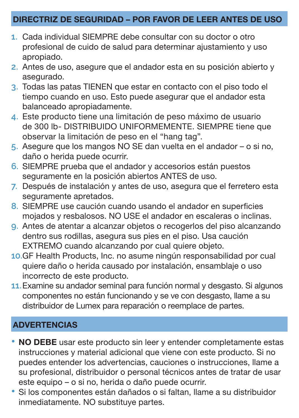#### DIRECTRIZ DE SEGURIDAD – POR FAVOR DE LEER ANTES DE USO

- **1.** Cada individual SIEMPRE debe consultar con su doctor o otro profesional de cuido de salud para determinar ajustamiento y uso apropiado.
- **2.** Antes de uso, asegure que el andador esta en su posición abierto y asegurado.
- **3.** Todas las patas TIENEN que estar en contacto con el piso todo el tiempo cuando en uso. Esto puede asegurar que el andador esta balanceado apropiadamente.
- **4.** Este producto tiene una limitación de peso máximo de usuario de 300 lb- DISTRIBUIDO UNIFORMEMENTE. SIEMPRE tiene que observar la limitación de peso en el "hang tag".
- **5.** Asegure que los mangos NO SE dan vuelta en el andador o si no, daño o herida puede ocurrir.
- **6.** SIEMPRE prueba que el andador y accesorios están puestos seguramente en la posición abiertos ANTES de uso.
- **7.** Después de instalación y antes de uso, asegura que el ferretero esta seguramente apretados.
- **8.** SIEMPRE use caución cuando usando el andador en superficies mojados y resbalosos. NO USE el andador en escaleras o inclinas.
- **9.** Antes de atentar a alcanzar objetos o recogerlos del piso alcanzando dentro sus rodillas, asegura sus pies en el piso. Usa caución EXTREMO cuando alcanzando por cual quiere objeto.
- **10.**GF Health Products, Inc. no asume ningún responsabilidad por cual quiere daño o herida causado por instalación, ensamblaje o uso incorrecto de este producto.
- **11.**Examine su andador seminal para función normal y desgasto. Si algunos componentes no están funcionando y se ve con desgasto, llame a su distribuidor de Lumex para reparación o reemplace de partes.

# ADVERTENCIAS

- NO DEBE usar este producto sin leer y entender completamente estas instrucciones y material adicional que viene con este producto. Si no puedes entender los advertencias, cauciones o instrucciones, llame a su profesional, distribuidor o personal técnicos antes de tratar de usar este equipo – o si no, herida o daño puede ocurrir.
- Si los componentes están dañados o si faltan, llame a su distribuidor inmediatamente. NO substituye partes.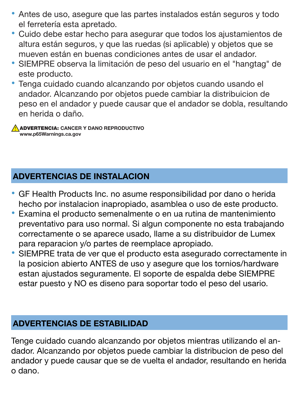- Antes de uso, asegure que las partes instalados están seguros y todo el ferretería esta apretado.
- Cuido debe estar hecho para asegurar que todos los ajustamientos de altura están seguros, y que las ruedas (si aplicable) y objetos que se mueven están en buenas condiciones antes de usar el andador.
- SIEMPRE observa la limitación de peso del usuario en el "hangtag" de este producto.
- Tenga cuidado cuando alcanzando por objetos cuando usando el andador. Alcanzando por objetos puede cambiar la distribuicion de peso en el andador y puede causar que el andador se dobla, resultando en herida o daño.

ADVERTENCIA: CANCER Y DANO REPRODUCTIVO www.p65Warnings.ca.gov

# ADVERTENCIAS DE INSTALACION

- GF Health Products Inc. no asume responsibilidad por dano o herida hecho por instalacion inapropiado, asamblea o uso de este producto.
- Examina el producto semenalmente o en ua rutina de mantenimiento preventativo para uso normal. Si algun componente no esta trabajando correctamente o se aparece usado, llame a su distribuidor de Lumex para reparacion y/o partes de reemplace apropiado.
- SIEMPRE trata de ver que el producto esta asegurado correctamente in la posicion abierto ANTES de uso y asegure que los tornios/hardware estan ajustados seguramente. El soporte de espalda debe SIEMPRE estar puesto y NO es diseno para soportar todo el peso del usario.

### ADVERTENCIAS DE ESTABILIDAD

Tenge cuidado cuando alcanzando por objetos mientras utilizando el andador. Alcanzando por objetos puede cambiar la distribucion de peso del andador y puede causar que se de vuelta el andador, resultando en herida o dano.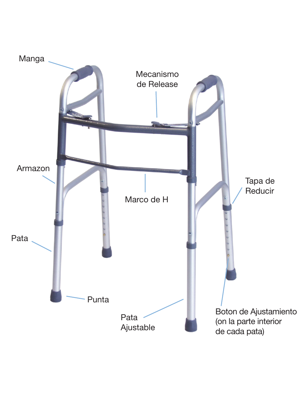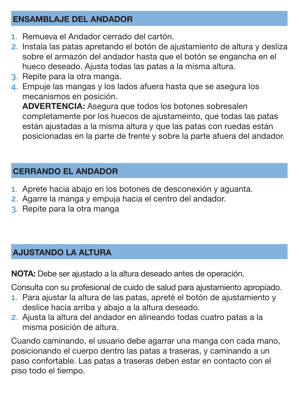#### ENSAMBLAJE DEL ANDADOR

- **1.** Remueva el Andador cerrado del cartón.
- **2.** Instala las patas apretando el botón de ajustamiento de altura y desliza sobre el armazón del andador hasta que el botón se engancha en el hueco deseado. Ajusta todas las patas a la misma altura.
- **3.** Repite para la otra manga.
- **4.** Empuje las mangas y los lados afuera hasta que se asegura los mecanismos en posición.

ADVERTENCIA: Asegura que todos los botones sobresalen completamente por los huecos de ajustameinto, que todas las patas están ajustadas a la misma altura y que las patas con ruedas están posicionadas en la parte de frente y sobre la parte afuera del andador.

# CERRANDO EL ANDADOR

- **1.** Aprete hacia abajo en los botones de desconexión y aguanta.
- **2.** Agarre la manga y empuja hacia el centro del andador.
- **3.** Repite para la otra manga

# AJUSTANDO LA ALTURA

NOTA: Debe ser ajustado a la altura deseado antes de operación.

Consulta con su profesional de cuido de salud para ajustamiento apropiado.

- **1.** Para ajustar la altura de las patas, apreté el botón de ajustamiento y deslice hacia arriba y abajo a la altura deseado.
- **2.** Ajusta la altura del andador en alineando todas cuatro patas a la misma posición de altura.

Cuando caminando, el usuario debe agarrar una manga con cada mano, posicionando el cuerpo dentro las patas a traseras, y caminando a un paso confortable. Las patas a traseras deben estar en contacto con el piso todo el tiempo.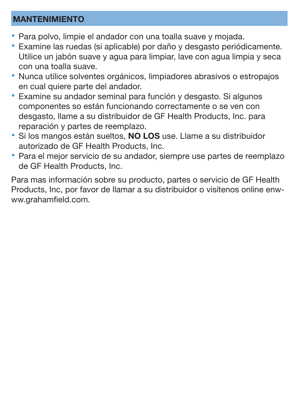#### MANTENIMIENTO

- Para polvo, limpie el andador con una toalla suave y mojada.
- Examine las ruedas (si aplicable) por daño y desgasto periódicamente. Utilice un jabón suave y agua para limpiar, lave con agua limpia y seca con una toalla suave.
- Nunca utilice solventes orgánicos, limpiadores abrasivos o estropajos en cual quiere parte del andador.
- Examine su andador seminal para función y desgasto. Si algunos componentes so están funcionando correctamente o se ven con desgasto, llame a su distribuidor de GF Health Products, Inc. para reparación y partes de reemplazo.
- Si los mangos están sueltos, NO LOS use. Llame a su distribuidor autorizado de GF Health Products, Inc.
- Para el mejor servicio de su andador, siempre use partes de reemplazo de GF Health Products, Inc.

Para mas información sobre su producto, partes o servicio de GF Health Products, Inc, por favor de llamar a su distribuidor o visítenos online enwww.grahamfield.com.